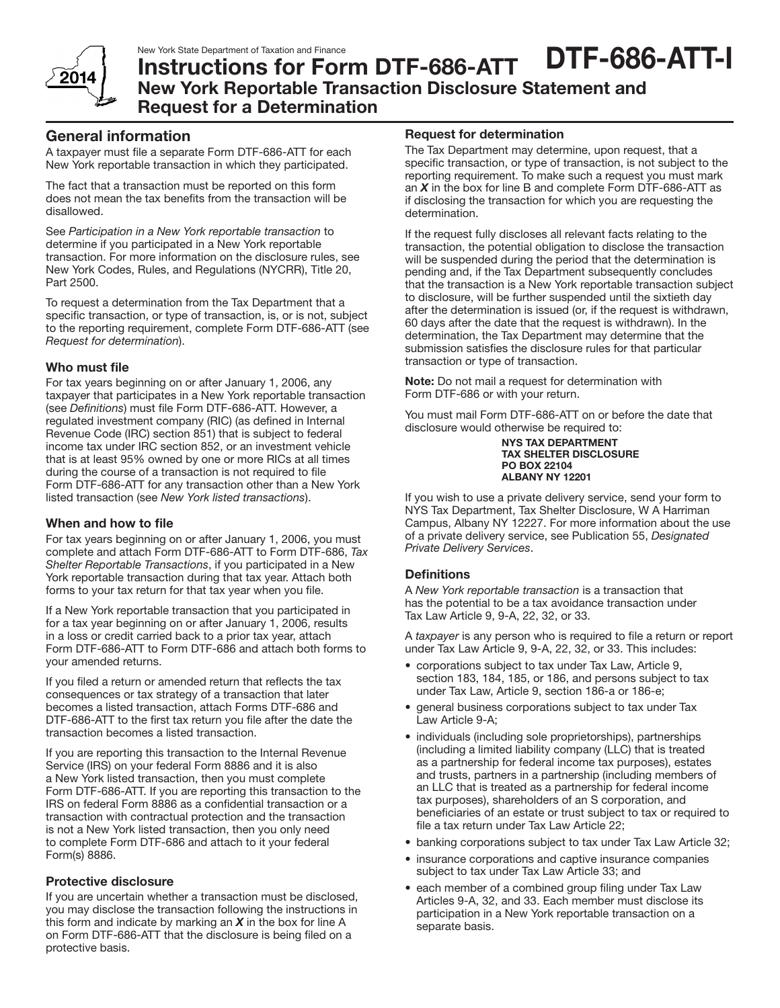

DTF-686-ATT-I

# Instructions for Form DTF-686-ATT New York Reportable Transaction Disclosure Statement and Request for a Determination

### General information

A taxpayer must file a separate Form DTF-686-ATT for each New York reportable transaction in which they participated.

The fact that a transaction must be reported on this form does not mean the tax benefits from the transaction will be disallowed.

See *Participation in a New York reportable transaction* to determine if you participated in a New York reportable transaction. For more information on the disclosure rules, see New York Codes, Rules, and Regulations (NYCRR), Title 20, Part 2500.

To request a determination from the Tax Department that a specific transaction, or type of transaction, is, or is not, subject to the reporting requirement, complete Form DTF-686-ATT (see *Request for determination*).

### Who must file

For tax years beginning on or after January 1, 2006, any taxpayer that participates in a New York reportable transaction (see *Definitions*) must file Form DTF-686-ATT. However, a regulated investment company (RIC) (as defined in Internal Revenue Code (IRC) section 851) that is subject to federal income tax under IRC section 852, or an investment vehicle that is at least 95% owned by one or more RICs at all times during the course of a transaction is not required to file Form DTF-686-ATT for any transaction other than a New York listed transaction (see *New York listed transactions*).

#### When and how to file

For tax years beginning on or after January 1, 2006, you must complete and attach Form DTF-686-ATT to Form DTF-686, *Tax Shelter Reportable Transactions*, if you participated in a New York reportable transaction during that tax year. Attach both forms to your tax return for that tax year when you file.

If a New York reportable transaction that you participated in for a tax year beginning on or after January 1, 2006, results in a loss or credit carried back to a prior tax year, attach Form DTF-686-ATT to Form DTF-686 and attach both forms to your amended returns.

If you filed a return or amended return that reflects the tax consequences or tax strategy of a transaction that later becomes a listed transaction, attach Forms DTF-686 and DTF-686-ATT to the first tax return you file after the date the transaction becomes a listed transaction.

If you are reporting this transaction to the Internal Revenue Service (IRS) on your federal Form 8886 and it is also a New York listed transaction, then you must complete Form DTF-686-ATT. If you are reporting this transaction to the IRS on federal Form 8886 as a confidential transaction or a transaction with contractual protection and the transaction is not a New York listed transaction, then you only need to complete Form DTF-686 and attach to it your federal Form(s) 8886.

#### Protective disclosure

If you are uncertain whether a transaction must be disclosed, you may disclose the transaction following the instructions in this form and indicate by marking an *X* in the box for line A on Form DTF-686-ATT that the disclosure is being filed on a protective basis.

#### Request for determination

The Tax Department may determine, upon request, that a specific transaction, or type of transaction, is not subject to the reporting requirement. To make such a request you must mark an *X* in the box for line B and complete Form DTF-686-ATT as if disclosing the transaction for which you are requesting the determination.

If the request fully discloses all relevant facts relating to the transaction, the potential obligation to disclose the transaction will be suspended during the period that the determination is pending and, if the Tax Department subsequently concludes that the transaction is a New York reportable transaction subject to disclosure, will be further suspended until the sixtieth day after the determination is issued (or, if the request is withdrawn, 60 days after the date that the request is withdrawn). In the determination, the Tax Department may determine that the submission satisfies the disclosure rules for that particular transaction or type of transaction.

Note: Do not mail a request for determination with Form DTF-686 or with your return.

You must mail Form DTF-686-ATT on or before the date that disclosure would otherwise be required to:

#### NYS TAX DEPARTMENT TAX SHELTER DISCLOSURE PO BOX 22104 ALBANY NY 12201

If you wish to use a private delivery service, send your form to NYS Tax Department, Tax Shelter Disclosure, W A Harriman Campus, Albany NY 12227. For more information about the use of a private delivery service, see Publication 55, *Designated Private Delivery Services*.

#### **Definitions**

A *New York reportable transaction* is a transaction that has the potential to be a tax avoidance transaction under Tax Law Article 9, 9-A, 22, 32, or 33.

A *taxpayer* is any person who is required to file a return or report under Tax Law Article 9, 9-A, 22, 32, or 33. This includes:

- corporations subject to tax under Tax Law, Article 9, section 183, 184, 185, or 186, and persons subject to tax under Tax Law, Article 9, section 186-a or 186-e;
- general business corporations subject to tax under Tax Law Article 9-A;
- • individuals (including sole proprietorships), partnerships (including a limited liability company (LLC) that is treated as a partnership for federal income tax purposes), estates and trusts, partners in a partnership (including members of an LLC that is treated as a partnership for federal income tax purposes), shareholders of an S corporation, and beneficiaries of an estate or trust subject to tax or required to file a tax return under Tax Law Article 22;
- banking corporations subject to tax under Tax Law Article 32;
- insurance corporations and captive insurance companies subject to tax under Tax Law Article 33; and
- each member of a combined group filing under Tax Law Articles 9-A, 32, and 33. Each member must disclose its participation in a New York reportable transaction on a separate basis.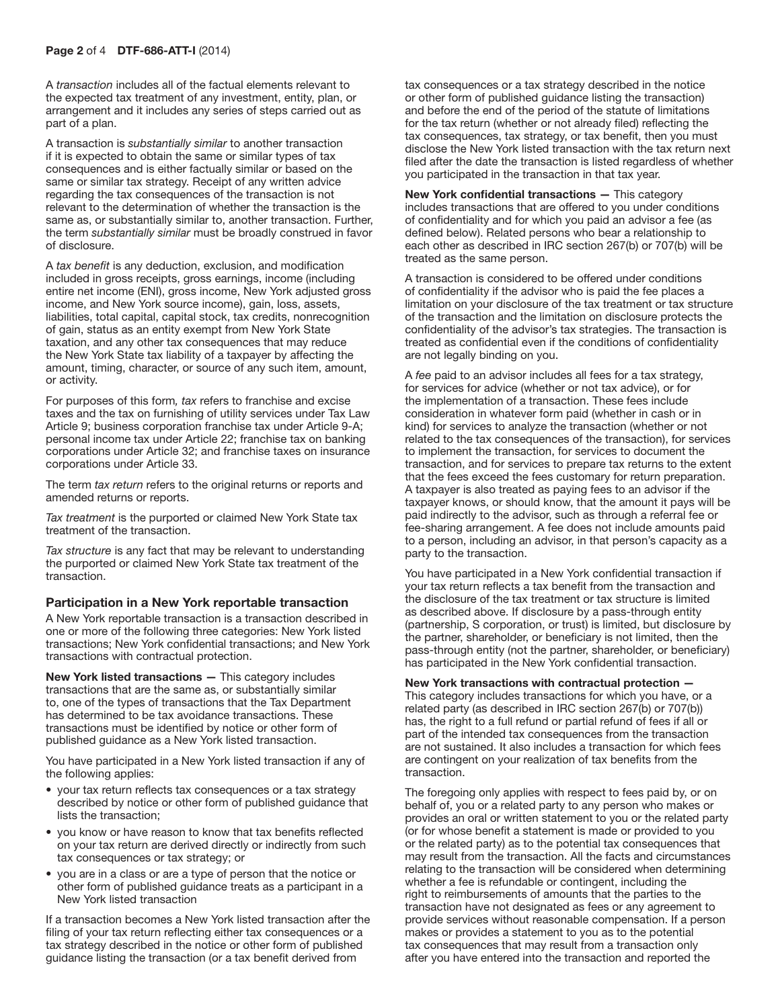A *transaction* includes all of the factual elements relevant to the expected tax treatment of any investment, entity, plan, or arrangement and it includes any series of steps carried out as part of a plan.

A transaction is *substantially similar* to another transaction if it is expected to obtain the same or similar types of tax consequences and is either factually similar or based on the same or similar tax strategy. Receipt of any written advice regarding the tax consequences of the transaction is not relevant to the determination of whether the transaction is the same as, or substantially similar to, another transaction. Further, the term *substantially similar* must be broadly construed in favor of disclosure.

A *tax benefit* is any deduction, exclusion, and modification included in gross receipts, gross earnings, income (including entire net income (ENI), gross income, New York adjusted gross income, and New York source income), gain, loss, assets, liabilities, total capital, capital stock, tax credits, nonrecognition of gain, status as an entity exempt from New York State taxation, and any other tax consequences that may reduce the New York State tax liability of a taxpayer by affecting the amount, timing, character, or source of any such item, amount, or activity.

For purposes of this form*, tax* refers to franchise and excise taxes and the tax on furnishing of utility services under Tax Law Article 9; business corporation franchise tax under Article 9-A; personal income tax under Article 22; franchise tax on banking corporations under Article 32; and franchise taxes on insurance corporations under Article 33.

The term *tax return* refers to the original returns or reports and amended returns or reports.

*Tax treatment* is the purported or claimed New York State tax treatment of the transaction.

*Tax structure* is any fact that may be relevant to understanding the purported or claimed New York State tax treatment of the transaction.

#### Participation in a New York reportable transaction

A New York reportable transaction is a transaction described in one or more of the following three categories: New York listed transactions; New York confidential transactions; and New York transactions with contractual protection.

New York listed transactions — This category includes transactions that are the same as, or substantially similar to, one of the types of transactions that the Tax Department has determined to be tax avoidance transactions. These transactions must be identified by notice or other form of published guidance as a New York listed transaction.

You have participated in a New York listed transaction if any of the following applies:

- your tax return reflects tax consequences or a tax strategy described by notice or other form of published guidance that lists the transaction;
- • you know or have reason to know that tax benefits reflected on your tax return are derived directly or indirectly from such tax consequences or tax strategy; or
- you are in a class or are a type of person that the notice or other form of published guidance treats as a participant in a New York listed transaction

If a transaction becomes a New York listed transaction after the filing of your tax return reflecting either tax consequences or a tax strategy described in the notice or other form of published guidance listing the transaction (or a tax benefit derived from

tax consequences or a tax strategy described in the notice or other form of published guidance listing the transaction) and before the end of the period of the statute of limitations for the tax return (whether or not already filed) reflecting the tax consequences, tax strategy, or tax benefit, then you must disclose the New York listed transaction with the tax return next filed after the date the transaction is listed regardless of whether you participated in the transaction in that tax year.

New York confidential transactions — This category includes transactions that are offered to you under conditions of confidentiality and for which you paid an advisor a fee (as defined below). Related persons who bear a relationship to each other as described in IRC section 267(b) or 707(b) will be treated as the same person.

A transaction is considered to be offered under conditions of confidentiality if the advisor who is paid the fee places a limitation on your disclosure of the tax treatment or tax structure of the transaction and the limitation on disclosure protects the confidentiality of the advisor's tax strategies. The transaction is treated as confidential even if the conditions of confidentiality are not legally binding on you.

A *fee* paid to an advisor includes all fees for a tax strategy, for services for advice (whether or not tax advice), or for the implementation of a transaction. These fees include consideration in whatever form paid (whether in cash or in kind) for services to analyze the transaction (whether or not related to the tax consequences of the transaction), for services to implement the transaction, for services to document the transaction, and for services to prepare tax returns to the extent that the fees exceed the fees customary for return preparation. A taxpayer is also treated as paying fees to an advisor if the taxpayer knows, or should know, that the amount it pays will be paid indirectly to the advisor, such as through a referral fee or fee-sharing arrangement. A fee does not include amounts paid to a person, including an advisor, in that person's capacity as a party to the transaction.

You have participated in a New York confidential transaction if your tax return reflects a tax benefit from the transaction and the disclosure of the tax treatment or tax structure is limited as described above. If disclosure by a pass-through entity (partnership, S corporation, or trust) is limited, but disclosure by the partner, shareholder, or beneficiary is not limited, then the pass-through entity (not the partner, shareholder, or beneficiary) has participated in the New York confidential transaction.

#### New York transactions with contractual protection —

This category includes transactions for which you have, or a related party (as described in IRC section 267(b) or 707(b)) has, the right to a full refund or partial refund of fees if all or part of the intended tax consequences from the transaction are not sustained. It also includes a transaction for which fees are contingent on your realization of tax benefits from the transaction.

The foregoing only applies with respect to fees paid by, or on behalf of, you or a related party to any person who makes or provides an oral or written statement to you or the related party (or for whose benefit a statement is made or provided to you or the related party) as to the potential tax consequences that may result from the transaction. All the facts and circumstances relating to the transaction will be considered when determining whether a fee is refundable or contingent, including the right to reimbursements of amounts that the parties to the transaction have not designated as fees or any agreement to provide services without reasonable compensation. If a person makes or provides a statement to you as to the potential tax consequences that may result from a transaction only after you have entered into the transaction and reported the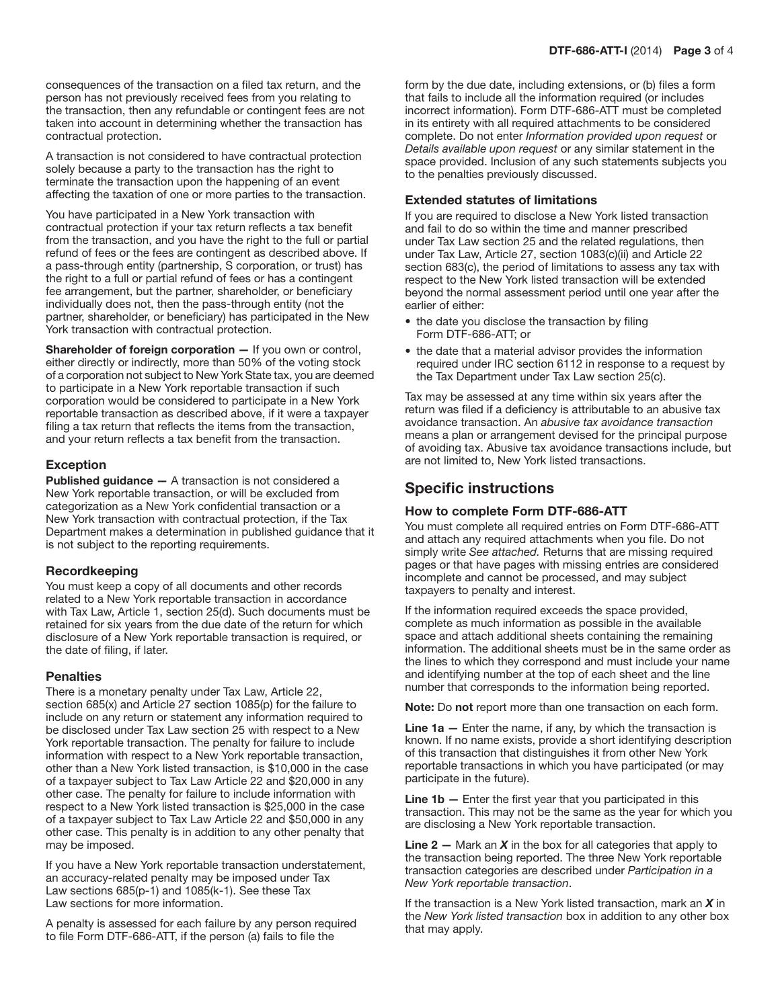consequences of the transaction on a filed tax return, and the person has not previously received fees from you relating to the transaction, then any refundable or contingent fees are not taken into account in determining whether the transaction has contractual protection.

A transaction is not considered to have contractual protection solely because a party to the transaction has the right to terminate the transaction upon the happening of an event affecting the taxation of one or more parties to the transaction.

You have participated in a New York transaction with contractual protection if your tax return reflects a tax benefit from the transaction, and you have the right to the full or partial refund of fees or the fees are contingent as described above. If a pass-through entity (partnership, S corporation, or trust) has the right to a full or partial refund of fees or has a contingent fee arrangement, but the partner, shareholder, or beneficiary individually does not, then the pass-through entity (not the partner, shareholder, or beneficiary) has participated in the New York transaction with contractual protection.

Shareholder of foreign corporation - If you own or control, either directly or indirectly, more than 50% of the voting stock of a corporation not subject to New York State tax, you are deemed to participate in a New York reportable transaction if such corporation would be considered to participate in a New York reportable transaction as described above, if it were a taxpayer filing a tax return that reflects the items from the transaction, and your return reflects a tax benefit from the transaction.

#### Exception

Published guidance - A transaction is not considered a New York reportable transaction, or will be excluded from categorization as a New York confidential transaction or a New York transaction with contractual protection, if the Tax Department makes a determination in published guidance that it is not subject to the reporting requirements.

#### Recordkeeping

You must keep a copy of all documents and other records related to a New York reportable transaction in accordance with Tax Law, Article 1, section 25(d). Such documents must be retained for six years from the due date of the return for which disclosure of a New York reportable transaction is required, or the date of filing, if later.

#### **Penalties**

There is a monetary penalty under Tax Law, Article 22, section 685(x) and Article 27 section 1085(p) for the failure to include on any return or statement any information required to be disclosed under Tax Law section 25 with respect to a New York reportable transaction. The penalty for failure to include information with respect to a New York reportable transaction, other than a New York listed transaction, is \$10,000 in the case of a taxpayer subject to Tax Law Article 22 and \$20,000 in any other case. The penalty for failure to include information with respect to a New York listed transaction is \$25,000 in the case of a taxpayer subject to Tax Law Article 22 and \$50,000 in any other case. This penalty is in addition to any other penalty that may be imposed.

If you have a New York reportable transaction understatement, an accuracy-related penalty may be imposed under Tax Law sections 685(p-1) and 1085(k-1). See these Tax Law sections for more information.

A penalty is assessed for each failure by any person required to file Form DTF-686-ATT, if the person (a) fails to file the

form by the due date, including extensions, or (b) files a form that fails to include all the information required (or includes incorrect information). Form DTF-686-ATT must be completed in its entirety with all required attachments to be considered complete. Do not enter *Information provided upon request* or *Details available upon request* or any similar statement in the space provided. Inclusion of any such statements subjects you to the penalties previously discussed.

#### Extended statutes of limitations

If you are required to disclose a New York listed transaction and fail to do so within the time and manner prescribed under Tax Law section 25 and the related regulations, then under Tax Law, Article 27, section 1083(c)(ii) and Article 22 section 683(c), the period of limitations to assess any tax with respect to the New York listed transaction will be extended beyond the normal assessment period until one year after the earlier of either:

- the date you disclose the transaction by filing Form DTF-686-ATT; or
- the date that a material advisor provides the information required under IRC section 6112 in response to a request by the Tax Department under Tax Law section 25(c).

Tax may be assessed at any time within six years after the return was filed if a deficiency is attributable to an abusive tax avoidance transaction. An *abusive tax avoidance transaction* means a plan or arrangement devised for the principal purpose of avoiding tax. Abusive tax avoidance transactions include, but are not limited to, New York listed transactions.

### Specific instructions

#### How to complete Form DTF-686-ATT

You must complete all required entries on Form DTF-686-ATT and attach any required attachments when you file. Do not simply write *See attached.* Returns that are missing required pages or that have pages with missing entries are considered incomplete and cannot be processed, and may subject taxpayers to penalty and interest.

If the information required exceeds the space provided, complete as much information as possible in the available space and attach additional sheets containing the remaining information. The additional sheets must be in the same order as the lines to which they correspond and must include your name and identifying number at the top of each sheet and the line number that corresponds to the information being reported.

Note: Do not report more than one transaction on each form.

**Line 1a**  $-$  Enter the name, if any, by which the transaction is known. If no name exists, provide a short identifying description of this transaction that distinguishes it from other New York reportable transactions in which you have participated (or may participate in the future).

**Line 1b**  $-$  Enter the first year that you participated in this transaction. This may not be the same as the year for which you are disclosing a New York reportable transaction.

**Line 2** – Mark an  $X$  in the box for all categories that apply to the transaction being reported. The three New York reportable transaction categories are described under *Participation in a New York reportable transaction*.

If the transaction is a New York listed transaction, mark an *X* in the *New York listed transaction* box in addition to any other box that may apply.